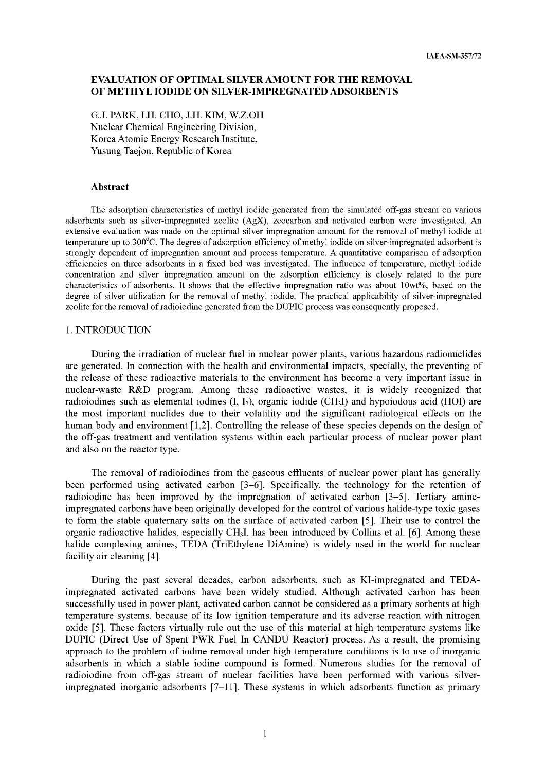# **EVALUATION OF OPTIMAL SILVER AMOUNT FOR THE REMOVAL OF METHYL IODIDE ON SILVER-IMPREGNATED ADSORBENTS**

G..I. PARK, I.H. CHO, J.H. KIM, W.Z.OH Nuclear Chemical Engineering Division, Korea Atomic Energy Research Institute, Yusung Taejon, Republic of Korea

#### **Abstract**

The adsorption characteristics of methyl iodide generated from the simulated off-gas stream on various adsorbents such as silver-impregnated zeolite (AgX), zeocarbon and activated carbon were investigated. An extensive evaluation was made on the optimal silver impregnation amount for the removal of methyl iodide at temperature up to 300°C. The degree of adsorption efficiency of methyl iodide on silver-impregnated adsorbent is strongly dependent of impregnation amount and process temperature. A quantitative comparison of adsorption efficiencies on three adsorbents in a fixed bed was investigated. The influence of temperature, methyl iodide concentration and silver impregnation amount on the adsorption efficiency is closely related to the pore characteristics of adsorbents. It shows that the effective impregnation ratio was about 10wt%, based on the degree of silver utilization for the removal of methyl iodide. The practical applicability of silver-impregnated zeolite for the removal of radioiodine generated from the DUPIC process was consequently proposed.

### 1. INTRODUCTION

During the irradiation of nuclear fuel in nuclear power plants, various hazardous radionuclides are generated. In connection with the health and environmental impacts, specially, the preventing of the release of these radioactive materials to the environment has become a very important issue in nuclear-waste R&D program. Among these radioactive wastes, it is widely recognized that radioiodines such as elemental iodines  $(I, I_2)$ , organic iodide (CH<sub>3</sub>I) and hypoiodous acid (HOI) are the most important nuclides due to their volatility and the significant radiological effects on the human body and environment [1,2]. Controlling the release of these species depends on the design of the off-gas treatment and ventilation systems within each particular process of nuclear power plant and also on the reactor type.

The removal of radioiodines from the gaseous effluents of nuclear power plant has generally been performed using activated carbon [3-6]. Specifically, the technology for the retention of radioiodine has been improved by the impregnation of activated carbon [3-5]. Tertiary amineimpregnated carbons have been originally developed for the control of various halide-type toxic gases to form the stable quaternary salts on the surface of activated carbon [5]. Their use to control the organic radioactive halides, especially CH3I, has been introduced by Collins et al. [6]. Among these halide complexing amines, TEDA (TriEthylene DiAmine) is widely used in the world for nuclear facility air cleaning [4].

During the past several decades, carbon adsorbents, such as Kl-impregnated and TEDAimpregnated activated carbons have been widely studied. Although activated carbon has been successfully used in power plant, activated carbon cannot be considered as a primary sorbents at high temperature systems, because of its low ignition temperature and its adverse reaction with nitrogen oxide [5]. These factors virtually rule out the use of this material at high temperature systems like DUPIC (Direct Use of Spent PWR Fuel In CANDU Reactor) process. As a result, the promising approach to the problem of iodine removal under high temperature conditions is to use of inorganic adsorbents in which a stable iodine compound is formed. Numerous studies for the removal of radioiodine from off-gas stream of nuclear facilities have been performed with various silverimpregnated inorganic adsorbents [7-11]. These systems in which adsorbents function as primary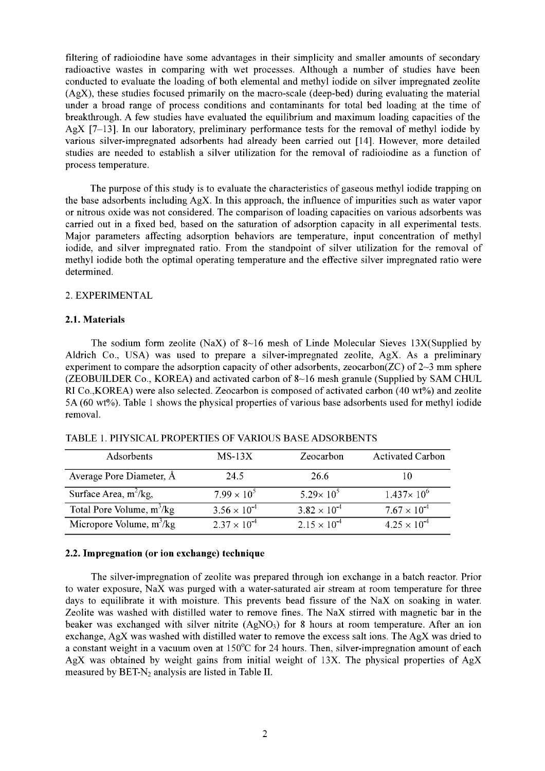filtering of radioiodine have some advantages in their simplicity and smaller amounts of secondary radioactive wastes in comparing with wet processes. Although a number of studies have been conducted to evaluate the loading of both elemental and methyl iodide on silver impregnated zeolite (AgX), these studies focused primarily on the macro-scale (deep-bed) during evaluating the material under a broad range of process conditions and contaminants for total bed loading at the time of breakthrough. A few studies have evaluated the equilibrium and maximum loading capacities of the AgX [7-13]. In our laboratory, preliminary performance tests for the removal of methyl iodide by various silver-impregnated adsorbents had already been carried out [14]. However, more detailed studies are needed to establish a silver utilization for the removal of radioiodine as a function of process temperature.

The purpose of this study is to evaluate the characteristics of gaseous methyl iodide trapping on the base adsorbents including AgX. In this approach, the influence of impurities such as water vapor or nitrous oxide was not considered. The comparison of loading capacities on various adsorbents was carried out in a fixed bed, based on the saturation of adsorption capacity in all experimental tests. Major parameters affecting adsorption behaviors are temperature, input concentration of methyl iodide, and silver impregnated ratio. From the standpoint of silver utilization for the removal of methyl iodide both the optimal operating temperature and the effective silver impregnated ratio were determined.

## 2. EXPERIMENTAL

## **2.1. Materials**

The sodium form zeolite (NaX) of  $8{\sim}16$  mesh of Linde Molecular Sieves 13X(Supplied by Aldrich Co., USA) was used to prepare a silver-impregnated zeolite, AgX. As a preliminary experiment to compare the adsorption capacity of other adsorbents, zeocarbon( $ZC$ ) of  $2~3$  mm sphere (ZEOBUILDER Co., KOREA) and activated carbon of 8-16 mesh granule (Supplied by SAM CHUL RI Co.,KOREA) were also selected. Zeocarbon is composed of activated carbon (40 wt%) and zeolite 5 A (60 wt%). Table 1 shows the physical properties of various base adsorbents used for methyl iodide removal.

| Adsorbents                  | $MS-13X$              | Zeocarbon             | <b>Activated Carbon</b> |
|-----------------------------|-----------------------|-----------------------|-------------------------|
| Average Pore Diameter, Å    | 24.5                  | 26.6                  |                         |
| Surface Area, $m^2/kg$ ,    | $7.99 \times 10^{5}$  | $5.29 \times 10^{5}$  | $1.437 \times 10^{6}$   |
| Total Pore Volume, $m^3/kg$ | $3.56 \times 10^{-4}$ | $3.82 \times 10^{-4}$ | $7.67 \times 10^{-4}$   |
| Micropore Volume, $m^3/kg$  | $2.37 \times 10^{-4}$ | $2.15 \times 10^{-4}$ | $4.25 \times 10^{-4}$   |

TABLE 1. PHYSICAL PROPERTIES OF VARIOUS BASE ADSORBENTS

### **2.2. Impregnation (or ion exchange) technique**

The silver-impregnation of zeolite was prepared through ion exchange in a batch reactor. Prior to water exposure, NaX was purged with a water-saturated air stream at room temperature for three days to equilibrate it with moisture. This prevents bead fissure of the NaX on soaking in water. Zeolite was washed with distilled water to remove fines. The NaX stirred with magnetic bar in the beaker was exchanged with silver nitrite  $(AgNO<sub>3</sub>)$  for 8 hours at room temperature. After an ion exchange, AgX was washed with distilled water to remove the excess salt ions. The AgX was dried to a constant weight in a vacuum oven at 150°C for 24 hours. Then, silver-impregnation amount of each AgX was obtained by weight gains from initial weight of 13X. The physical properties of AgX measured by  $BET-N<sub>2</sub>$  analysis are listed in Table II.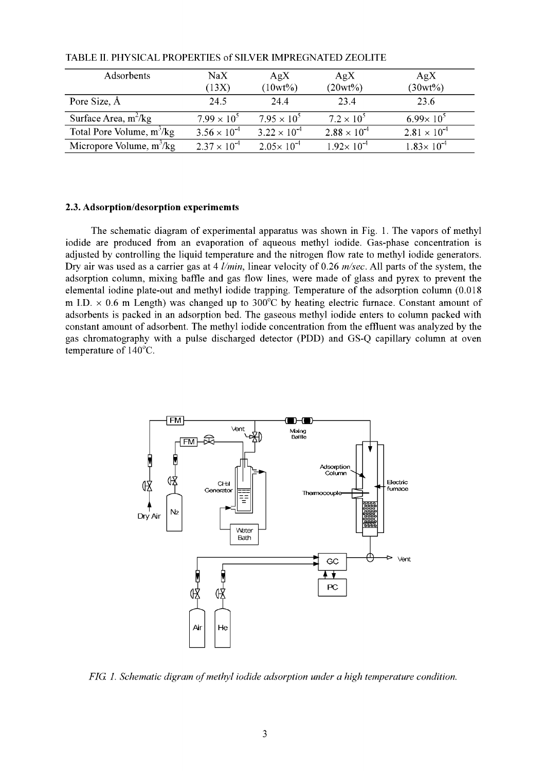| Adsorbents                  | $\rm NaX$<br>(13X)    | AgX<br>$(10wt\%)$     | AgX<br>$(20wt\%)$     | AgX<br>$(30wt\%)$     |
|-----------------------------|-----------------------|-----------------------|-----------------------|-----------------------|
| Pore Size, Å                | 24.5                  | 24.4                  | 23.4                  | 23.6                  |
| Surface Area, $m^2/kg$      | $7.99 \times 10^{5}$  | $7.95 \times 10^{5}$  | $7.2 \times 10^{5}$   | $6.99 \times 10^{5}$  |
| Total Pore Volume, $m^3/kg$ | $3.56 \times 10^{-4}$ | $3.22 \times 10^{-4}$ | $2.88 \times 10^{-4}$ | $2.81 \times 10^{-4}$ |
| Micropore Volume, $m^3/kg$  | $2.37 \times 10^{-4}$ | $2.05 \times 10^{-4}$ | $1.92 \times 10^{-4}$ | $1.83 \times 10^{-4}$ |

TABLE H. PHYSICAL PROPERTIES of SILVER IMPREGNATED ZEOLITE

## **2.3. Adsorption/desorption experimemts**

The schematic diagram of experimental apparatus was shown in Fig. 1. The vapors of methyl iodide are produced from an evaporation of aqueous methyl iodide. Gas-phase concentration is adjusted by controlling the liquid temperature and the nitrogen flow rate to methyl iodide generators. Dry air was used as a carrier gas at 4 *l/min,* linear velocity of 0.26 *m/sec.* All parts of the system, the adsorption column, mixing baffle and gas flow lines, were made of glass and pyrex to prevent the elemental iodine plate-out and methyl iodide trapping. Temperature of the adsorption column (0.018 m I.D.  $\times$  0.6 m Length) was changed up to 300°C by heating electric furnace. Constant amount of adsorbents is packed in an adsorption bed. The gaseous methyl iodide enters to column packed with constant amount of adsorbent. The methyl iodide concentration from the effluent was analyzed by the gas chromatography with a pulse discharged detector (PDD) and GS-Q capillary column at oven temperature of 140°C.



*FIG. 1. Schematic digram of methyl iodide adsorption under a high temperature condition.*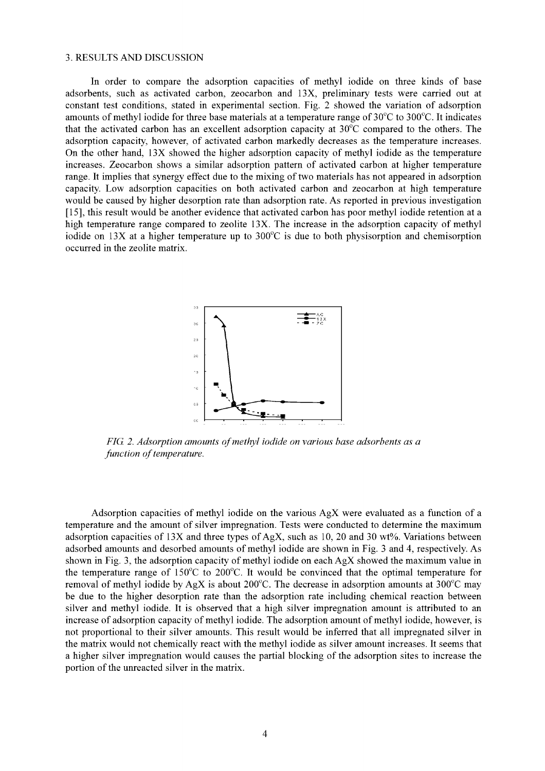### 3. RESULTS AND DISCUSSION

In order to compare the adsorption capacities of methyl iodide on three kinds of base adsorbents, such as activated carbon, zeocarbon and 13X, preliminary tests were carried out at constant test conditions, stated in experimental section. Fig. 2 showed the variation of adsorption amounts of methyl iodide for three base materials at a temperature range of 30°C to 300°C. It indicates that the activated carbon has an excellent adsorption capacity at 30°C compared to the others. The adsorption capacity, however, of activated carbon markedly decreases as the temperature increases. On the other hand, 13X showed the higher adsorption capacity of methyl iodide as the temperature increases. Zeocarbon shows a similar adsorption pattern of activated carbon at higher temperature range. It implies that synergy effect due to the mixing of two materials has not appeared in adsorption capacity. Low adsorption capacities on both activated carbon and zeocarbon at high temperature would be caused by higher desorption rate than adsorption rate. As reported in previous investigation [15], this result would be another evidence that activated carbon has poor methyl iodide retention at a high temperature range compared to zeolite 13X. The increase in the adsorption capacity of methyl iodide on  $13X$  at a higher temperature up to  $300^{\circ}$ C is due to both physisorption and chemisorption occurred in the zeolite matrix.



*FIG. 2. Adsorption amounts of methyl iodide on various base adsorbents as a function of temperature.*

Adsorption capacities of methyl iodide on the various AgX were evaluated as a function of a temperature and the amount of silver impregnation. Tests were conducted to determine the maximum adsorption capacities of 13X and three types of AgX, such as 10, 20 and 30 wt%. Variations between adsorbed amounts and desorbed amounts of methyl iodide are shown in Fig. 3 and 4, respectively. As shown in Fig. 3, the adsorption capacity of methyl iodide on each AgX showed the maximum value in the temperature range of  $150^{\circ}$ C to  $200^{\circ}$ C. It would be convinced that the optimal temperature for removal of methyl iodide by AgX is about 200 $^{\circ}$ C. The decrease in adsorption amounts at 300 $^{\circ}$ C may be due to the higher desorption rate than the adsorption rate including chemical reaction between silver and methyl iodide. It is observed that a high silver impregnation amount is attributed to an increase of adsorption capacity of methyl iodide. The adsorption amount of methyl iodide, however, is not proportional to their silver amounts. This result would be inferred that all impregnated silver in the matrix would not chemically react with the methyl iodide as silver amount increases. It seems that a higher silver impregnation would causes the partial blocking of the adsorption sites to increase the portion of the unreacted silver in the matrix.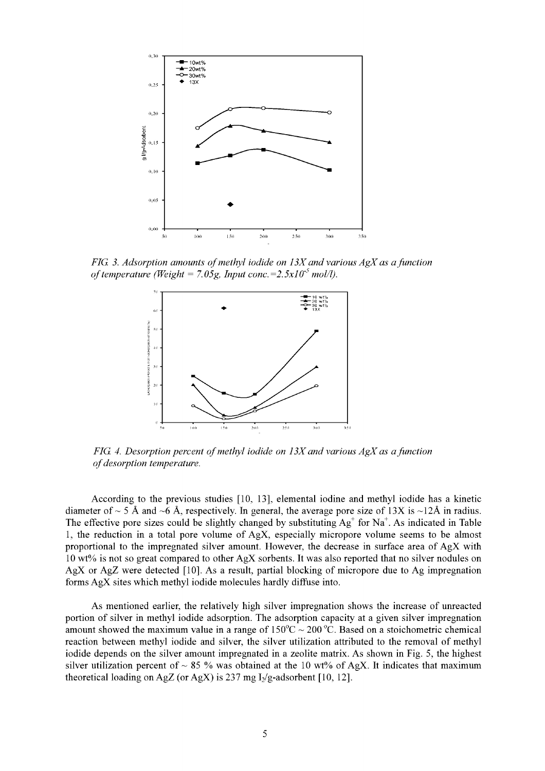

*FIG. 3. Adsorption amounts of methyl iodide on 13X and various AgX as a function of temperature (Weight = 7.05g, Input conc. =*  $2.5x10^{-5}$  *mol/l).* 



*FIG. 4. Desorption percent of methyl iodide on 13X and various AgX as a function of desorption temperature.*

According to the previous studies [10, 13], elemental iodine and methyl iodide has a kinetic diameter of  $\sim$  5 Å and  $\sim$ 6 Å, respectively. In general, the average pore size of 13X is  $\sim$ 12Å in radius. The effective pore sizes could be slightly changed by substituting  $Ag^+$  for  $Na^+$ . As indicated in Table 1, the reduction in a total pore volume of  $AgX$ , especially micropore volume seems to be almost proportional to the impregnated silver amount. However, the decrease in surface area of AgX with 10 wt% is not so great compared to other AgX sorbents. It was also reported that no silver nodules on AgX or AgZ were detected [10]. As a result, partial blocking of micropore due to Ag impregnation forms AgX sites which methyl iodide molecules hardly diffuse into.

As mentioned earlier, the relatively high silver impregnation shows the increase of unreacted portion of silver in methyl iodide adsorption. The adsorption capacity at a given silver impregnation amount showed the maximum value in a range of  $150^{\circ}$ C ~ 200 °C. Based on a stoichometric chemical reaction between methyl iodide and silver, the silver utilization attributed to the removal of methyl iodide depends on the silver amount impregnated in a zeolite matrix. As shown in Fig. 5, the highest silver utilization percent of  $\sim 85$  % was obtained at the 10 wt% of AgX. It indicates that maximum theoretical loading on AgZ (or AgX) is 237 mg  $I_2/g$ -adsorbent [10, 12].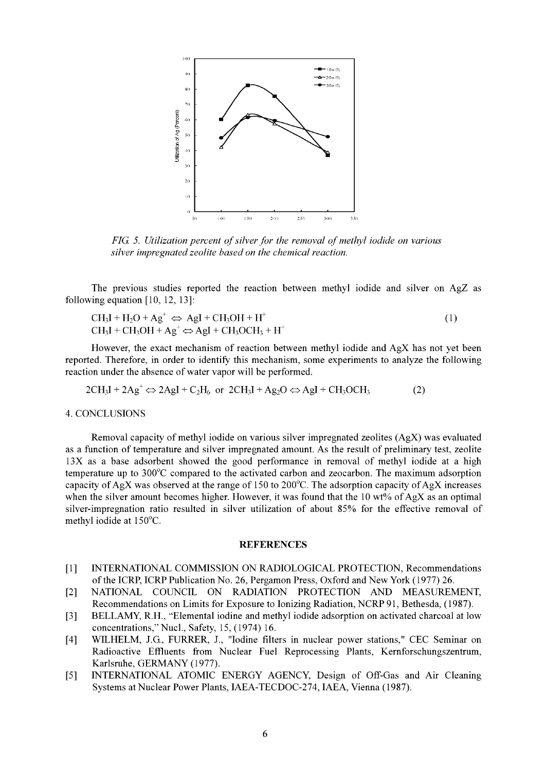

*FIG. 5. Utilization percent of silver for the removal of methyl iodide on various silver impregnated zeolite based on the chemical reaction.*

The previous studies reported the reaction between methyl iodide and silver on AgZ as following equation [10, 12, 13]:

$$
CH_3I + H_2O + Ag^+ \Leftrightarrow AgI + CH_3OH + H^+ CH_3I + CH_3OH + Ag^+ \Leftrightarrow AgI + CH_3OCH_3 + H^+
$$
 (1)

However, the exact mechanism of reaction between methyl iodide and AgX has not yet been reported. Therefore, in order to identify this mechanism, some experiments to analyze the following reaction under the absence of water vapor will be performed.

 $2CH_3I + 2Ag^+ \Leftrightarrow 2AgI + C_2H_6$  or  $2CH_3I + Ag_2O \Leftrightarrow AgI + CH_3OCH_3$  (2)

### 4. CONCLUSIONS

Removal capacity of methyl iodide on various silver impregnated zeolites (AgX) was evaluated as a function of temperature and silver impregnated amount. As the result of preliminary test, zeolite 13X as a base adsorbent showed the good performance in removal of methyl iodide at a high temperature up to 300°C compared to the activated carbon and zeocarbon. The maximum adsorption capacity of AgX was observed at the range of 150 to 200 $^{\circ}$ C. The adsorption capacity of AgX increases when the silver amount becomes higher. However, it was found that the 10 wt% of AgX as an optimal silver-impregnation ratio resulted in silver utilization of about 85% for the effective removal of methyl iodide at 150°C.

#### **REFERENCES**

- [1] INTERNATIONAL COMMISSION ON RADIOLOGICAL PROTECTION, Recommendations of the ICRP, ICRP Publication No. 26, Pergamon Press, Oxford and New York (1977) 26.
- [2] NATIONAL COUNCIL ON RADIATION PROTECTION AND MEASUREMENT, Recommendations on Limits for Exposure to Ionizing Radiation, NCRP 91, Bethesda, (1987).
- [3] BELLAMY, R.H., "Elemental iodine and methyl iodide adsorption on activated charcoal at low concentrations," Nucl., Safety, 15, (1974) 16.
- [4] WILHELM, J.G., FURRER, J., "Iodine filters in nuclear power stations," CEC Seminar on Radioactive Effluents from Nuclear Fuel Reprocessing Plants, Kernforschungszentrum, Karlsruhe, GERMANY (1977).
- [5] INTERNATIONAL ATOMIC ENERGY AGENCY, Design of Off-Gas and Air Cleaning Systems at Nuclear Power Plants, IAEA-TECDOC-274, IAEA, Vienna (1987).